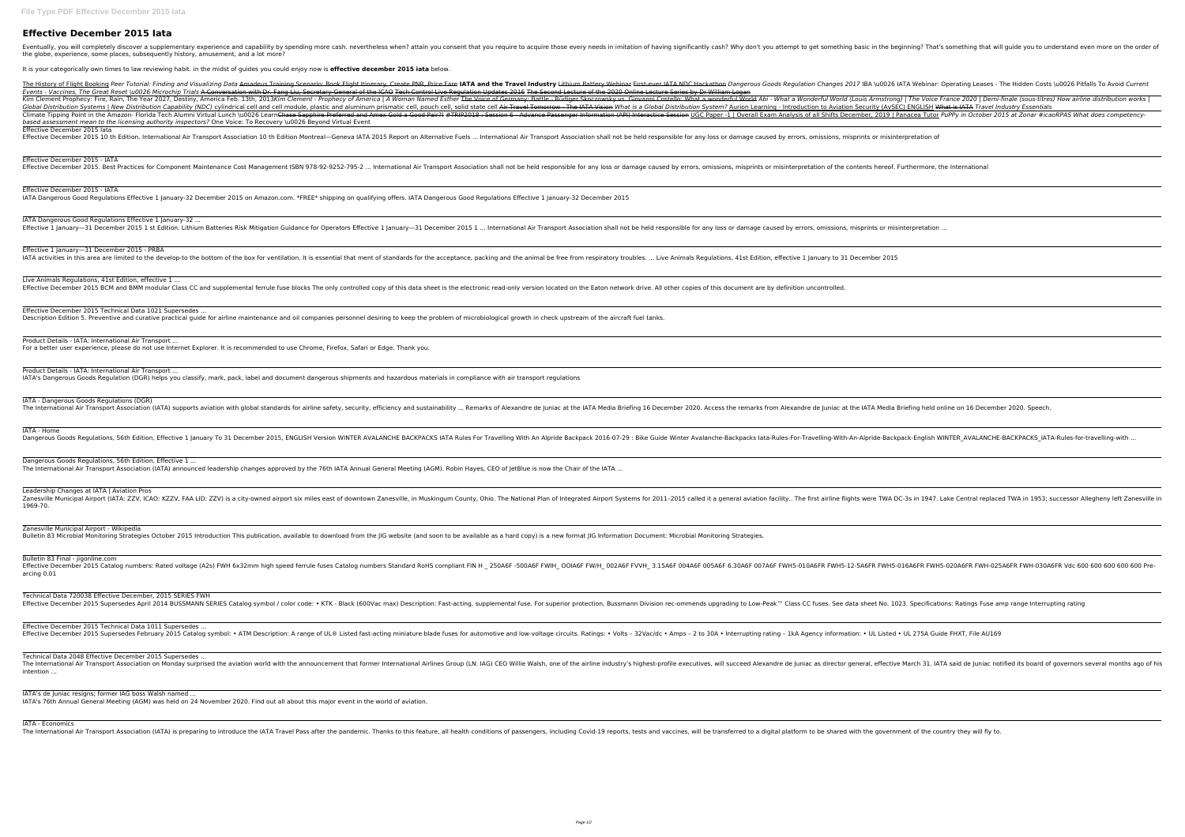## **Effective December 2015 Iata**

Eventually, you will completely discover a supplementary experience and capability by spending more cash. nevertheless when? attain you consent that you attempt to get something basic in the beginning? That's something tha the globe, experience, some places, subsequently history, amusement, and a lot more?

It is your categorically own times to law reviewing habit. in the midst of guides you could enjoy now is **effective december 2015 iata** below.

The History of Flight Booking Peer Tutorial: Finding and Visualizing Data Amadeus Training Scenario: Book Flight Itinerary, Create PNR, Price Fare IATA NDC Hackathon Dangerous Goods Regulation Changes 2017 IBA \u0026 IATA Events - Vaccines, The Great Reset \u0026 Microchip Trials A Conversation with Dr. Fang Liu, Secretary General of the ICAO Tech Control Live Regulation Updates 2016 The Second Lecture of the 2020 Online Lecture Series by D Kim Clement Prophecy: Fire, Rain, The Year 2027, Destiny, America Feb. 13th, 2013Kim Clement - Prophecy of America | A Woman Named Esther The Voice of Germany: Battle - Rüdiger Skoczowsky vs. Giovanni Costello: What a Wond Global Distribution Systems | New Distribution Capability (NDC) cylindrical cell and cell module, plastic and aluminum prismatic cell, pouch cell, solid state cell Air Travel Tomorrow - The IATA Vision What is a Global Dis Climate Tipping Point in the Amazon- Florida Tech Alumni Virtual Lunch \u0026 LearnChase Sapphire Preferred and Amex Gold a Good Pair?! #TRIP2018 : Session 6 - Advance Passenger Information (API) Interactice Session 6 - Ad *based assessment mean to the licensing authority inspectors?* One Voice: To Recovery \u0026 Beyond Virtual Event Effective December 2015 Iata

Effective December 2015 10 th Edition. International Air Transport Association 10 th Edition Montreal—Geneva IATA 2015 Report on Alternative Fuels ... International Air Transport Association shall not be held responsible f

IATA Dangerous Good Regulations Effective 1 January-32 ... Effective 1 January-31 December 2015 1 st Edition. Lithium Batteries Risk Mitigation Guidance for Operators Effective 1 January-31 December 2015 1 ... International Air Transport Association shall not be held responsible f

Effective 1 January—31 December 2015 - PRBA IATA activities in this area are limited to the develop-to the bottom of the box for ventilation. It is essential that ment of standards for the acceptance, packing and the animal be free from respiratory troubles. ... Liv

Live Animals Regulations, 41st Edition, effective 1 ... Effective December 2015 BCM and BMM modular Class CC and supplemental ferrule fuse blocks The only controlled copy of this data sheet is the electronic read-only version located on the Eaton network drive. All other copies

Effective December 2015 - IATA

Effective December 2015. Best Practices for Component Maintenance Cost Management ISBN 978-92-9252-795-2 ... International Air Transport Association shall not be held responsible for any loss or damage caused by errors, om

Effective December 2015 - IATA IATA Dangerous Good Regulations Effective 1 January-32 December 2015 on Amazon.com. \*FREE\* shipping on qualifying offers. IATA Dangerous Good Regulations Effective 1 January-32 December 2015

Zanesville Municipal Airport (IATA: ZZV, ICAO: KZZV, FAA LID: ZZV) is a city-owned airport six miles east of downtown Zanesville, in Muskingum County, Ohio. The first airline flights were TWA DC-3s in 1947. Lake Central re 1969-70.

Effective December 2015 Catalog numbers: Rated voltage (A2s) FWH 6x32mm high speed ferrule fuses Catalog numbers Standard RoHS compliant FIN H 250A6F FWH5-010A6FR FWH5-010A6FR FWH5-010A6FR FWH5-010A6FR FWH5-020A6FR FWH-025 arcing 0.01

Effective December 2015 Technical Data 1011 Supersedes ... Effective December 2015 Supersedes February 2015 Catalog symbol: • ATM Description: A range of UL® Listed fast-acting miniature blade fuses for automotive and low-voltage circuits. Ratings: • Volts - 32Vac/dc • Amps - 2 to

The International Air Transport Association on Monday surprised the aviation world with the announcement that former International Airlines Group (LN: IAG) CEO Willie Walsh, one of the airline industry's highest-profile ex intention ...

Effective December 2015 Technical Data 1021 Supersedes ... Description Edition 5. Preventive and curative practical guide for airline maintenance and oil companies personnel desiring to keep the problem of microbiological growth in check upstream of the aircraft fuel tanks.

Product Details - IATA: International Air Transport ... For a better user experience, please do not use Internet Explorer. It is recommended to use Chrome, Firefox, Safari or Edge. Thank you.

Product Details - IATA: International Air Transport ... IATA's Dangerous Goods Regulation (DGR) helps you classify, mark, pack, label and document dangerous shipments and hazardous materials in compliance with air transport regulations

IATA - Dangerous Goods Regulations (DGR)

The International Air Transport Association (IATA) supports aviation with global standards for airline safety, security, efficiency and sustainability ... Remarks of Alexandre de Juniac at the IATA Media Briefing held onli

IATA - Home

Dangerous Goods Regulations, 56th Edition, Effective 1 January To 31 December 2015, ENGLISH Version WINTER AVALANCHE BACKPACKS IATA Rules For Travelling-With-An-Alpride-Backpacks Iata-Rules-For-Travelling-With-An-Alpride-B

Dangerous Goods Regulations, 56th Edition, Effective 1 ... The International Air Transport Association (IATA) announced leadership changes approved by the 76th IATA Annual General Meeting (AGM). Robin Hayes, CEO of JetBlue is now the Chair of the IATA ...

Leadership Changes at IATA | Aviation Pros

Zanesville Municipal Airport - Wikipedia

Bulletin 83 Microbial Monitoring Strategies October 2015 Introduction This publication, available to download from the JIG website (and soon to be available as a hard copy) is a new format JIG Information Document: Microbi

Bulletin 83 Final - jigonline.com

Technical Data 720038 Effective December, 2015 SERIES FWH

Technical Data 2048 Effective December 2015 Supersedes ...

IATA's de Juniac resigns; former IAG boss Walsh named ...

IATA's 76th Annual General Meeting (AGM) was held on 24 November 2020. Find out all about this major event in the world of aviation.

IATA - Economics

The International Air Transport Association (IATA) is preparing to introduce the IATA Travel Pass after the pandemic. Thanks to this feature, all health conditions of passengers, including Covid-19 reports, tests and vacci

Effective December 2015 Supersedes April 2014 BUSSMANN SERIES Catalog symbol / color code: • KTK - Black (600Vac max) Description: Fast-acting, supplemental fuse. For superior protection, Bussmann Division rec-ommends upg